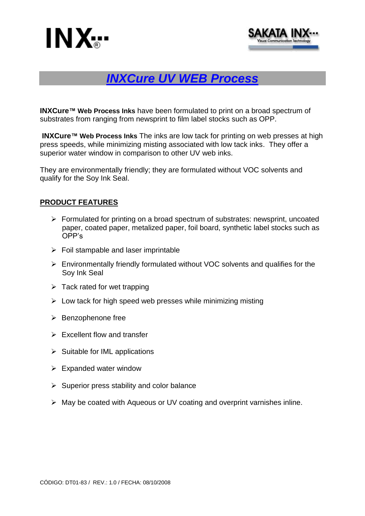



# *INXCure UV WEB Process*

**INXCure™ Web Process Inks** have been formulated to print on a broad spectrum of substrates from ranging from newsprint to film label stocks such as OPP.

**INXCure™ Web Process Inks** The inks are low tack for printing on web presses at high press speeds, while minimizing misting associated with low tack inks. They offer a superior water window in comparison to other UV web inks.

They are environmentally friendly; they are formulated without VOC solvents and qualify for the Soy Ink Seal.

#### **PRODUCT FEATURES**

- $\triangleright$  Formulated for printing on a broad spectrum of substrates: newsprint, uncoated paper, coated paper, metalized paper, foil board, synthetic label stocks such as OPP's
- $\triangleright$  Foil stampable and laser imprintable
- $\triangleright$  Environmentally friendly formulated without VOC solvents and qualifies for the Soy Ink Seal
- $\triangleright$  Tack rated for wet trapping
- $\triangleright$  Low tack for high speed web presses while minimizing misting
- $\triangleright$  Benzophenone free
- $\triangleright$  Excellent flow and transfer
- $\triangleright$  Suitable for IML applications
- $\triangleright$  Expanded water window
- $\triangleright$  Superior press stability and color balance
- May be coated with Aqueous or UV coating and overprint varnishes inline.